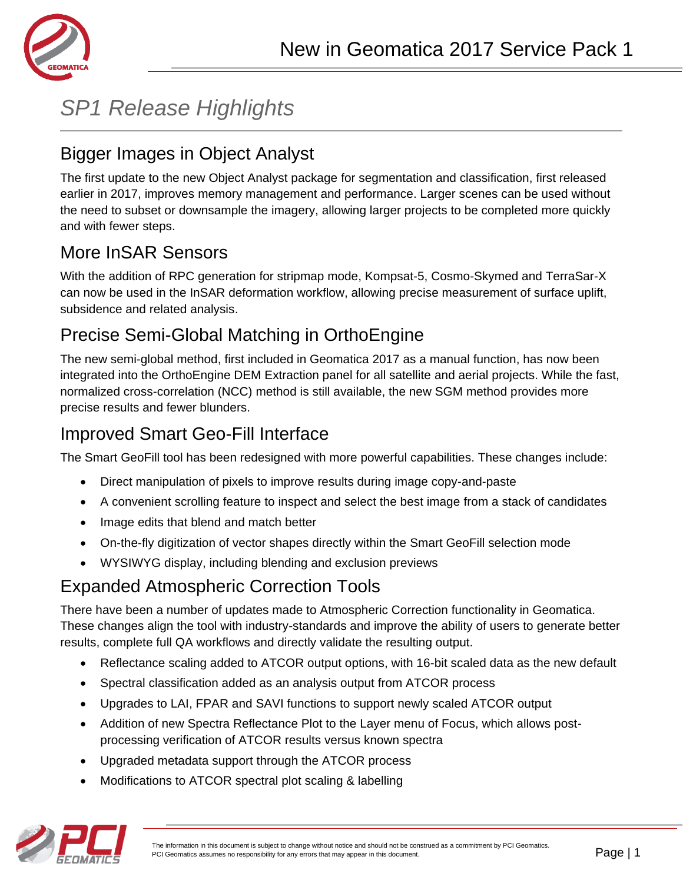

# *SP1 Release Highlights*

## Bigger Images in Object Analyst

The first update to the new Object Analyst package for segmentation and classification, first released earlier in 2017, improves memory management and performance. Larger scenes can be used without the need to subset or downsample the imagery, allowing larger projects to be completed more quickly and with fewer steps.

## More InSAR Sensors

With the addition of RPC generation for stripmap mode, Kompsat-5, Cosmo-Skymed and TerraSar-X can now be used in the InSAR deformation workflow, allowing precise measurement of surface uplift, subsidence and related analysis.

## Precise Semi-Global Matching in OrthoEngine

The new semi-global method, first included in Geomatica 2017 as a manual function, has now been integrated into the OrthoEngine DEM Extraction panel for all satellite and aerial projects. While the fast, normalized cross-correlation (NCC) method is still available, the new SGM method provides more precise results and fewer blunders.

## Improved Smart Geo-Fill Interface

The Smart GeoFill tool has been redesigned with more powerful capabilities. These changes include:

- Direct manipulation of pixels to improve results during image copy-and-paste
- A convenient scrolling feature to inspect and select the best image from a stack of candidates
- Image edits that blend and match better
- On-the-fly digitization of vector shapes directly within the Smart GeoFill selection mode
- WYSIWYG display, including blending and exclusion previews

## Expanded Atmospheric Correction Tools

There have been a number of updates made to Atmospheric Correction functionality in Geomatica. These changes align the tool with industry-standards and improve the ability of users to generate better results, complete full QA workflows and directly validate the resulting output.

- Reflectance scaling added to ATCOR output options, with 16-bit scaled data as the new default
- Spectral classification added as an analysis output from ATCOR process
- Upgrades to LAI, FPAR and SAVI functions to support newly scaled ATCOR output
- Addition of new Spectra Reflectance Plot to the Layer menu of Focus, which allows postprocessing verification of ATCOR results versus known spectra
- Upgraded metadata support through the ATCOR process
- Modifications to ATCOR spectral plot scaling & labelling

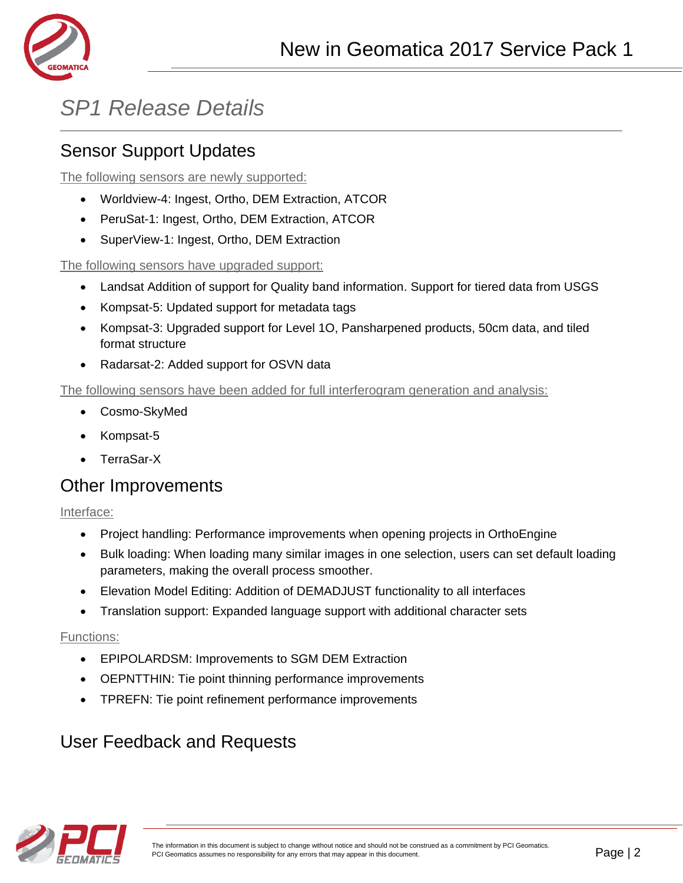

# *SP1 Release Details*

## Sensor Support Updates

The following sensors are newly supported:

- Worldview-4: Ingest, Ortho, DEM Extraction, ATCOR
- PeruSat-1: Ingest, Ortho, DEM Extraction, ATCOR
- SuperView-1: Ingest, Ortho, DEM Extraction

The following sensors have upgraded support:

- Landsat Addition of support for Quality band information. Support for tiered data from USGS
- Kompsat-5: Updated support for metadata tags
- Kompsat-3: Upgraded support for Level 1O, Pansharpened products, 50cm data, and tiled format structure
- Radarsat-2: Added support for OSVN data

The following sensors have been added for full interferogram generation and analysis:

- Cosmo-SkyMed
- Kompsat-5
- TerraSar-X

#### Other Improvements

Interface:

- Project handling: Performance improvements when opening projects in OrthoEngine
- Bulk loading: When loading many similar images in one selection, users can set default loading parameters, making the overall process smoother.
- Elevation Model Editing: Addition of DEMADJUST functionality to all interfaces
- Translation support: Expanded language support with additional character sets

#### Functions:

- EPIPOLARDSM: Improvements to SGM DEM Extraction
- OEPNTTHIN: Tie point thinning performance improvements
- TPREFN: Tie point refinement performance improvements

## User Feedback and Requests